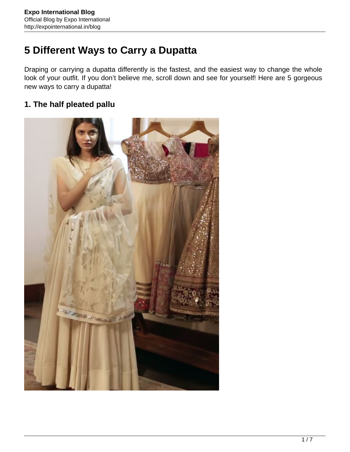# **5 Different Ways to Carry a Dupatta**

Draping or carrying a dupatta differently is the fastest, and the easiest way to change the whole look of your outfit. If you don't believe me, scroll down and see for yourself! Here are 5 gorgeous new ways to carry a dupatta!

## **1. The half pleated pallu**

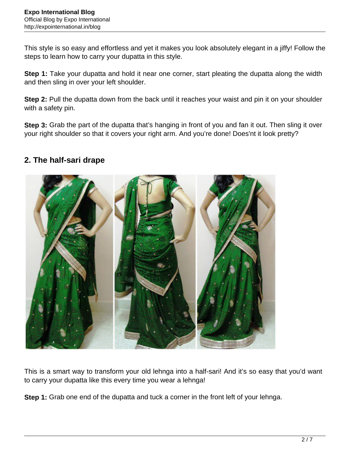This style is so easy and effortless and yet it makes you look absolutely elegant in a jiffy! Follow the steps to learn how to carry your dupatta in this style.

**Step 1:** Take your dupatta and hold it near one corner, start pleating the dupatta along the width and then sling in over your left shoulder.

**Step 2:** Pull the dupatta down from the back until it reaches your waist and pin it on your shoulder with a safety pin.

**Step 3:** Grab the part of the dupatta that's hanging in front of you and fan it out. Then sling it over your right shoulder so that it covers your right arm. And you're done! Does'nt it look pretty?

### **2. The half-sari drape**



This is a smart way to transform your old lehnga into a half-sari! And it's so easy that you'd want to carry your dupatta like this every time you wear a lehnga!

**Step 1:** Grab one end of the dupatta and tuck a corner in the front left of your lehnga.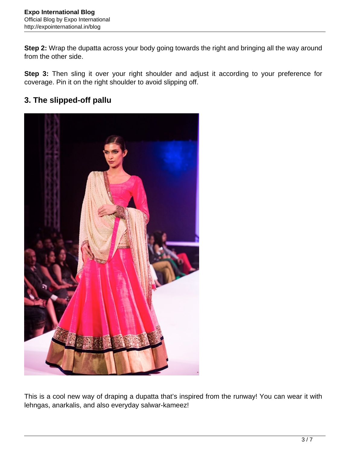**Step 2:** Wrap the dupatta across your body going towards the right and bringing all the way around from the other side.

**Step 3:** Then sling it over your right shoulder and adjust it according to your preference for coverage. Pin it on the right shoulder to avoid slipping off.

# **3. The slipped-off pallu**



This is a cool new way of draping a dupatta that's inspired from the runway! You can wear it with lehngas, anarkalis, and also everyday salwar-kameez!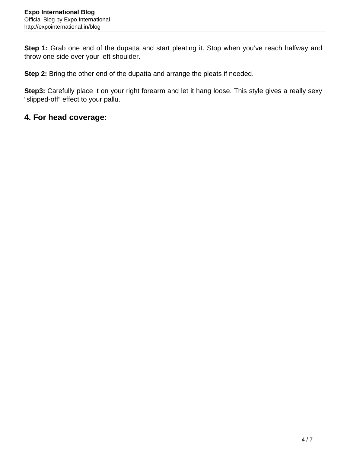**Step 1:** Grab one end of the dupatta and start pleating it. Stop when you've reach halfway and throw one side over your left shoulder.

**Step 2:** Bring the other end of the dupatta and arrange the pleats if needed.

**Step3:** Carefully place it on your right forearm and let it hang loose. This style gives a really sexy "slipped-off" effect to your pallu.

#### **4. For head coverage:**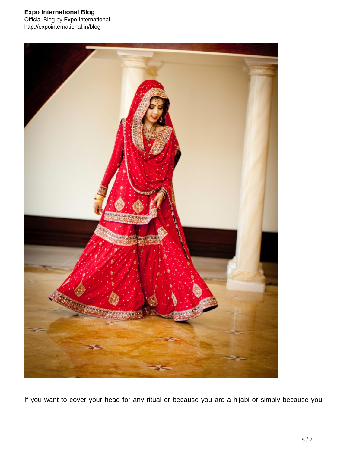#### **Expo International Blog** Official Blog by Expo International http://expointernational.in/blog



If you want to cover your head for any ritual or because you are a hijabi or simply because you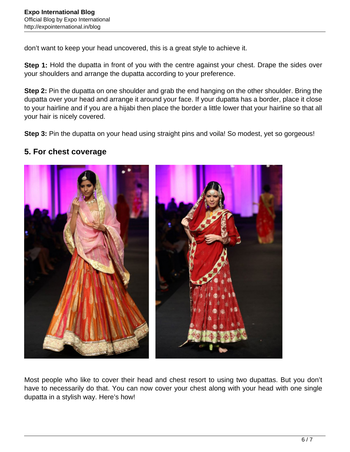don't want to keep your head uncovered, this is a great style to achieve it.

**Step 1:** Hold the dupatta in front of you with the centre against your chest. Drape the sides over your shoulders and arrange the dupatta according to your preference.

**Step 2:** Pin the dupatta on one shoulder and grab the end hanging on the other shoulder. Bring the dupatta over your head and arrange it around your face. If your dupatta has a border, place it close to your hairline and if you are a hijabi then place the border a little lower that your hairline so that all your hair is nicely covered.

**Step 3:** Pin the dupatta on your head using straight pins and voila! So modest, yet so gorgeous!

#### **5. For chest coverage**



Most people who like to cover their head and chest resort to using two dupattas. But you don't have to necessarily do that. You can now cover your chest along with your head with one single dupatta in a stylish way. Here's how!